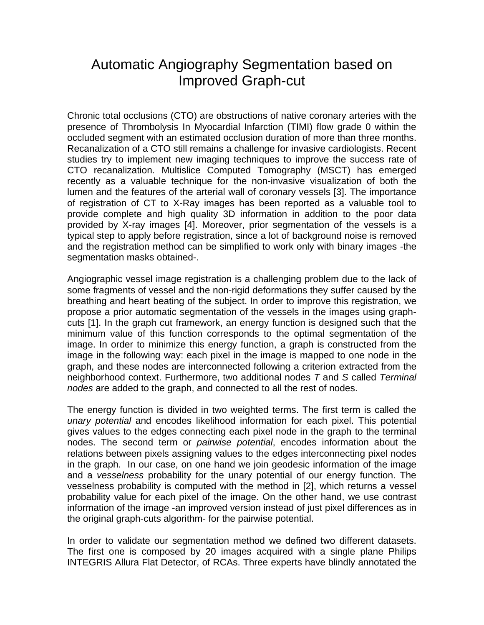## Automatic Angiography Segmentation based on Improved Graph-cut

Chronic total occlusions (CTO) are obstructions of native coronary arteries with the presence of Thrombolysis In Myocardial Infarction (TIMI) flow grade 0 within the occluded segment with an estimated occlusion duration of more than three months. Recanalization of a CTO still remains a challenge for invasive cardiologists. Recent studies try to implement new imaging techniques to improve the success rate of CTO recanalization. Multislice Computed Tomography (MSCT) has emerged recently as a valuable technique for the non-invasive visualization of both the lumen and the features of the arterial wall of coronary vessels [3]. The importance of registration of CT to X-Ray images has been reported as a valuable tool to provide complete and high quality 3D information in addition to the poor data provided by X-ray images [4]. Moreover, prior segmentation of the vessels is a typical step to apply before registration, since a lot of background noise is removed and the registration method can be simplified to work only with binary images -the segmentation masks obtained-.

Angiographic vessel image registration is a challenging problem due to the lack of some fragments of vessel and the non-rigid deformations they suffer caused by the breathing and heart beating of the subject. In order to improve this registration, we propose a prior automatic segmentation of the vessels in the images using graphcuts [1]. In the graph cut framework, an energy function is designed such that the minimum value of this function corresponds to the optimal segmentation of the image. In order to minimize this energy function, a graph is constructed from the image in the following way: each pixel in the image is mapped to one node in the graph, and these nodes are interconnected following a criterion extracted from the neighborhood context. Furthermore, two additional nodes *T* and *S* called *Terminal nodes* are added to the graph, and connected to all the rest of nodes.

The energy function is divided in two weighted terms. The first term is called the *unary potential* and encodes likelihood information for each pixel. This potential gives values to the edges connecting each pixel node in the graph to the terminal nodes. The second term or *pairwise potential*, encodes information about the relations between pixels assigning values to the edges interconnecting pixel nodes in the graph. In our case, on one hand we join geodesic information of the image and a *vesselness* probability for the unary potential of our energy function. The vesselness probability is computed with the method in [2], which returns a vessel probability value for each pixel of the image. On the other hand, we use contrast information of the image -an improved version instead of just pixel differences as in the original graph-cuts algorithm- for the pairwise potential.

In order to validate our segmentation method we defined two different datasets. The first one is composed by 20 images acquired with a single plane Philips INTEGRIS Allura Flat Detector, of RCAs. Three experts have blindly annotated the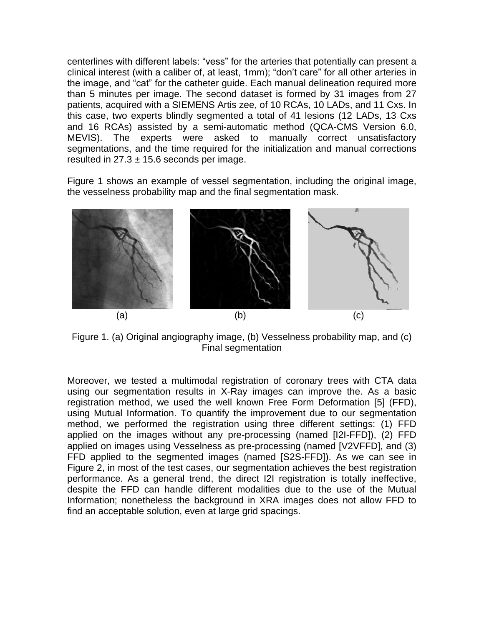centerlines with different labels: "vess" for the arteries that potentially can present a clinical interest (with a caliber of, at least, 1mm); "don't care" for all other arteries in the image, and "cat" for the catheter guide. Each manual delineation required more than 5 minutes per image. The second dataset is formed by 31 images from 27 patients, acquired with a SIEMENS Artis zee, of 10 RCAs, 10 LADs, and 11 Cxs. In this case, two experts blindly segmented a total of 41 lesions (12 LADs, 13 Cxs and 16 RCAs) assisted by a semi-automatic method (QCA-CMS Version 6.0, MEVIS). The experts were asked to manually correct unsatisfactory segmentations, and the time required for the initialization and manual corrections resulted in  $27.3 \pm 15.6$  seconds per image.

Figure 1 shows an example of vessel segmentation, including the original image, the vesselness probability map and the final segmentation mask.



Figure 1. (a) Original angiography image, (b) Vesselness probability map, and (c) Final segmentation

Moreover, we tested a multimodal registration of coronary trees with CTA data using our segmentation results in X-Ray images can improve the. As a basic registration method, we used the well known Free Form Deformation [5] (FFD), using Mutual Information. To quantify the improvement due to our segmentation method, we performed the registration using three different settings: (1) FFD applied on the images without any pre-processing (named [I2I-FFD]), (2) FFD applied on images using Vesselness as pre-processing (named [V2VFFD], and (3) FFD applied to the segmented images (named [S2S-FFD]). As we can see in Figure 2, in most of the test cases, our segmentation achieves the best registration performance. As a general trend, the direct I2I registration is totally ineffective, despite the FFD can handle different modalities due to the use of the Mutual Information; nonetheless the background in XRA images does not allow FFD to find an acceptable solution, even at large grid spacings.